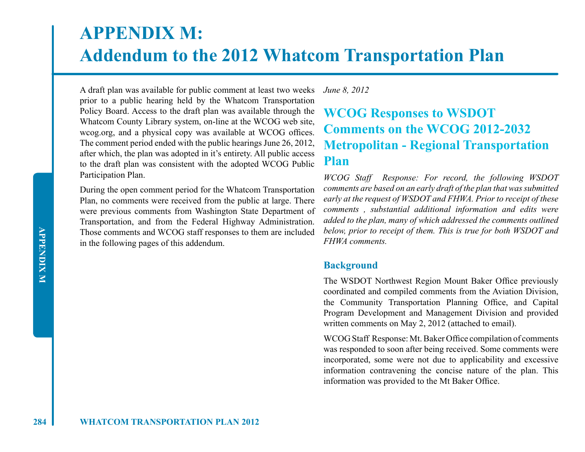# **APPENDIX M: Addendum to the 2012 Whatcom Transportation Plan**

A draft plan was available for public comment at least two weeks prior to a public hearing held by the Whatcom Transportation Policy Board. Access to the draft plan was available through the Whatcom County Library system, on-line at the WCOG web site, wcog.org, and a physical copy was available at WCOG offices. The comment period ended with the public hearings June 26, 2012, after which, the plan was adopted in it's entirety. All public access to the draft plan was consistent with the adopted WCOG Public Participation Plan.

During the open comment period for the Whatcom Transportation Plan, no comments were received from the public at large. There were previous comments from Washington State Department of Transportation, and from the Federal Highway Administration. Those comments and WCOG staff responses to them are included in the following pages of this addendum.

#### *June 8, 2012*

# **WCOG Responses to WSDOT Comments on the WCOG 2012-2032 Metropolitan - Regional Transportation Plan**

*WCOG Staff Response: For record, the following WSDOT comments are based on an early draft of the plan that was submitted early at the request of WSDOT and FHWA. Prior to receipt of these comments , substantial additional information and edits were added to the plan, many of which addressed the comments outlined below, prior to receipt of them. This is true for both WSDOT and FHWA comments.*

### **Background**

The WSDOT Northwest Region Mount Baker Office previously coordinated and compiled comments from the Aviation Division, the Community Transportation Planning Office, and Capital Program Development and Management Division and provided written comments on May 2, 2012 (attached to email).

WCOG Staff Response: Mt. Baker Office compilation of comments was responded to soon after being received. Some comments were incorporated, some were not due to applicability and excessive information contravening the concise nature of the plan. This information was provided to the Mt Baker Office.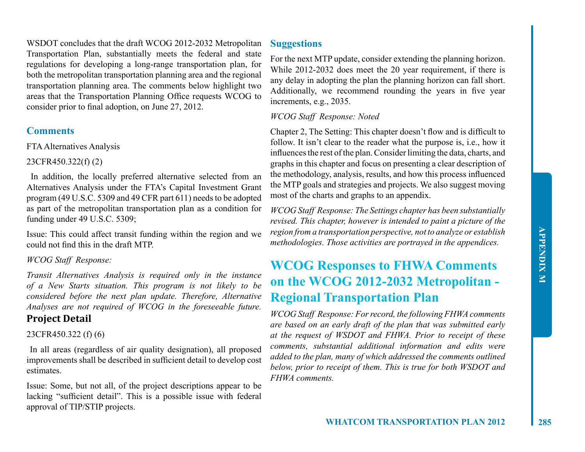WSDOT concludes that the draft WCOG 2012-2032 Metropolitan Transportation Plan, substantially meets the federal and state regulations for developing a long-range transportation plan, for both the metropolitan transportation planning area and the regional transportation planning area. The comments below highlight two areas that the Transportation Planning Office requests WCOG to consider prior to final adoption, on June 27, 2012.

# **Comments**

FTA Alternatives Analysis

23CFR450.322(f) (2)

 In addition, the locally preferred alternative selected from an Alternatives Analysis under the FTA's Capital Investment Grant program (49 U.S.C. 5309 and 49 CFR part 611) needs to be adopted as part of the metropolitan transportation plan as a condition for funding under 49 U.S.C. 5309;

Issue: This could affect transit funding within the region and we could not find this in the draft MTP.

### *WCOG Staff Response:*

*Transit Alternatives Analysis is required only in the instance of a New Starts situation. This program is not likely to be considered before the next plan update. Therefore, Alternative Analyses are not required of WCOG in the foreseeable future.*

# **Project Detail**

### 23CFR450.322 (f) (6)

 In all areas (regardless of air quality designation), all proposed improvements shall be described in sufficient detail to develop cost estimates.

Issue: Some, but not all, of the project descriptions appear to be lacking "sufficient detail". This is a possible issue with federal approval of TIP/STIP projects.

# **Suggestions**

For the next MTP update, consider extending the planning horizon. While 2012-2032 does meet the 20 year requirement, if there is any delay in adopting the plan the planning horizon can fall short. Additionally, we recommend rounding the years in five year increments, e.g., 2035.

### *WCOG Staff Response: Noted*

Chapter 2, The Setting: This chapter doesn't flow and is difficult to follow. It isn't clear to the reader what the purpose is, i.e., how it influences the rest of the plan. Consider limiting the data, charts, and graphs in this chapter and focus on presenting a clear description of the methodology, analysis, results, and how this process influenced the MTP goals and strategies and projects. We also suggest moving most of the charts and graphs to an appendix.

*WCOG Staff Response: The Settings chapter has been substantially revised. This chapter, however is intended to paint a picture of the region from a transportation perspective, not to analyze or establish methodologies. Those activities are portrayed in the appendices.* 

# **WCOG Responses to FHWA Comments on the WCOG 2012-2032 Metropolitan - Regional Transportation Plan**

*WCOG Staff Response: For record, the following FHWA comments are based on an early draft of the plan that was submitted early at the request of WSDOT and FHWA. Prior to receipt of these comments, substantial additional information and edits were added to the plan, many of which addressed the comments outlined below, prior to receipt of them. This is true for both WSDOT and FHWA comments.*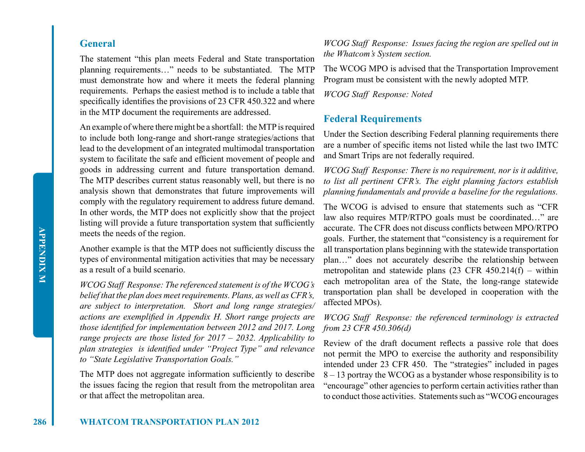### **General**

The statement "this plan meets Federal and State transportation planning requirements…" needs to be substantiated. The MTP must demonstrate how and where it meets the federal planning requirements. Perhaps the easiest method is to include a table that specifically identifies the provisions of 23 CFR 450.322 and where in the MTP document the requirements are addressed.

An example of where there might be a shortfall: the MTP is required to include both long-range and short-range strategies/actions that lead to the development of an integrated multimodal transportation system to facilitate the safe and efficient movement of people and goods in addressing current and future transportation demand. The MTP describes current status reasonably well, but there is no analysis shown that demonstrates that future improvements will comply with the regulatory requirement to address future demand. In other words, the MTP does not explicitly show that the project listing will provide a future transportation system that sufficiently meets the needs of the region.

Another example is that the MTP does not sufficiently discuss the types of environmental mitigation activities that may be necessary as a result of a build scenario.

*WCOG Staff Response: The referenced statement is of the WCOG's belief that the plan does meet requirements. Plans, as well as CFR's, are subject to interpretation. Short and long range strategies/ actions are exemplified in Appendix H. Short range projects are those identified for implementation between 2012 and 2017. Long range projects are those listed for 2017 – 2032. Applicability to plan strategies is identified under "Project Type" and relevance to "State Legislative Transportation Goals."* 

The MTP does not aggregate information sufficiently to describe the issues facing the region that result from the metropolitan area or that affect the metropolitan area.

*WCOG Staff Response: Issues facing the region are spelled out in the Whatcom's System section.*

The WCOG MPO is advised that the Transportation Improvement Program must be consistent with the newly adopted MTP.

*WCOG Staff Response: Noted*

### **Federal Requirements**

Under the Section describing Federal planning requirements there are a number of specific items not listed while the last two IMTC and Smart Trips are not federally required.

*WCOG Staff Response: There is no requirement, nor is it additive, to list all pertinent CFR's. The eight planning factors establish planning fundamentals and provide a baseline for the regulations.* 

The WCOG is advised to ensure that statements such as "CFR law also requires MTP/RTPO goals must be coordinated…" are accurate. The CFR does not discuss conflicts between MPO/RTPO goals. Further, the statement that "consistency is a requirement for all transportation plans beginning with the statewide transportation plan…" does not accurately describe the relationship between metropolitan and statewide plans  $(23 \text{ CFR } 450.214(f) - \text{within}$ each metropolitan area of the State, the long-range statewide transportation plan shall be developed in cooperation with the affected MPOs).

### *WCOG Staff Response: the referenced terminology is extracted from 23 CFR 450.306(d)*

Review of the draft document reflects a passive role that does not permit the MPO to exercise the authority and responsibility intended under 23 CFR 450. The "strategies" included in pages 8 – 13 portray the WCOG as a bystander whose responsibility is to "encourage" other agencies to perform certain activities rather than to conduct those activities. Statements such as "WCOG encourages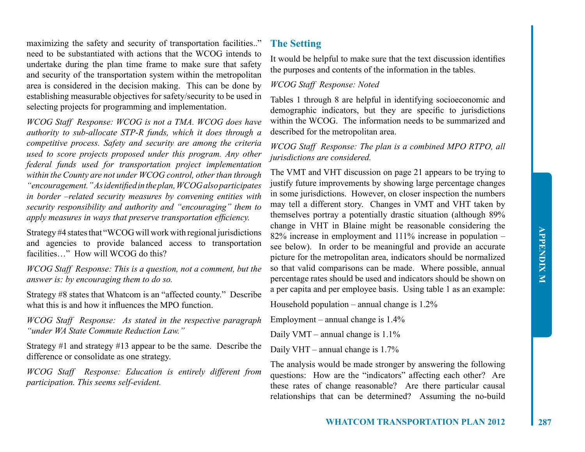maximizing the safety and security of transportation facilities.." need to be substantiated with actions that the WCOG intends to undertake during the plan time frame to make sure that safety and security of the transportation system within the metropolitan area is considered in the decision making. This can be done by establishing measurable objectives for safety/security to be used in selecting projects for programming and implementation.

*WCOG Staff Response: WCOG is not a TMA. WCOG does have authority to sub-allocate STP-R funds, which it does through a competitive process. Safety and security are among the criteria used to score projects proposed under this program. Any other federal funds used for transportation project implementation within the County are not under WCOG control, other than through "encouragement." As identified in the plan, WCOG also participates in border –related security measures by convening entities with security responsibility and authority and "encouraging" them to apply measures in ways that preserve transportation efficiency.* 

Strategy #4 states that "WCOG will work with regional jurisdictions and agencies to provide balanced access to transportation facilities…" How will WCOG do this?

*WCOG Staff Response: This is a question, not a comment, but the answer is: by encouraging them to do so.* 

Strategy #8 states that Whatcom is an "affected county." Describe what this is and how it influences the MPO function.

*WCOG Staff Response: As stated in the respective paragraph "under WA State Commute Reduction Law."*

Strategy #1 and strategy #13 appear to be the same. Describe the difference or consolidate as one strategy.

*WCOG Staff Response: Education is entirely different from participation. This seems self-evident.*

### **The Setting**

It would be helpful to make sure that the text discussion identifies the purposes and contents of the information in the tables.

#### *WCOG Staff Response: Noted*

Tables 1 through 8 are helpful in identifying socioeconomic and demographic indicators, but they are specific to jurisdictions within the WCOG. The information needs to be summarized and described for the metropolitan area.

### *WCOG Staff Response: The plan is a combined MPO RTPO, all jurisdictions are considered.*

The VMT and VHT discussion on page 21 appears to be trying to justify future improvements by showing large percentage changes in some jurisdictions. However, on closer inspection the numbers may tell a different story. Changes in VMT and VHT taken by themselves portray a potentially drastic situation (although 89% change in VHT in Blaine might be reasonable considering the 82% increase in employment and 111% increase in population – see below). In order to be meaningful and provide an accurate picture for the metropolitan area, indicators should be normalized so that valid comparisons can be made. Where possible, annual percentage rates should be used and indicators should be shown on a per capita and per employee basis. Using table 1 as an example:

Household population – annual change is  $1.2\%$ 

Employment – annual change is 1.4%

Daily VMT – annual change is  $1.1\%$ 

Daily VHT – annual change is 1.7%

The analysis would be made stronger by answering the following questions: How are the "indicators" affecting each other? Are these rates of change reasonable? Are there particular causal relationships that can be determined? Assuming the no-build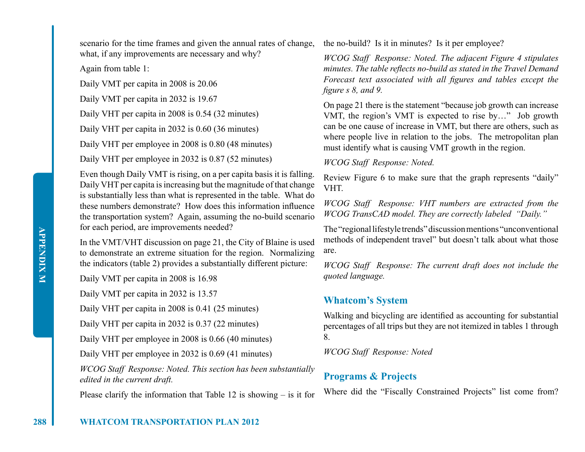scenario for the time frames and given the annual rates of change, what, if any improvements are necessary and why?

Again from table 1:

Daily VMT per capita in 2008 is 20.06

Daily VMT per capita in 2032 is 19.67

Daily VHT per capita in 2008 is 0.54 (32 minutes)

Daily VHT per capita in 2032 is 0.60 (36 minutes)

Daily VHT per employee in 2008 is 0.80 (48 minutes)

Daily VHT per employee in 2032 is 0.87 (52 minutes)

Even though Daily VMT is rising, on a per capita basis it is falling. Daily VHT per capita is increasing but the magnitude of that change is substantially less than what is represented in the table. What do these numbers demonstrate? How does this information influence the transportation system? Again, assuming the no-build scenario for each period, are improvements needed?

In the VMT/VHT discussion on page 21, the City of Blaine is used to demonstrate an extreme situation for the region. Normalizing the indicators (table 2) provides a substantially different picture:

Daily VMT per capita in 2008 is 16.98

Daily VMT per capita in 2032 is 13.57

Daily VHT per capita in 2008 is 0.41 (25 minutes)

Daily VHT per capita in 2032 is 0.37 (22 minutes)

Daily VHT per employee in 2008 is 0.66 (40 minutes)

Daily VHT per employee in 2032 is 0.69 (41 minutes)

*WCOG Staff Response: Noted. This section has been substantially edited in the current draft.*

Please clarify the information that Table 12 is showing  $-$  is it for

the no-build? Is it in minutes? Is it per employee?

*WCOG Staff Response: Noted. The adjacent Figure 4 stipulates minutes. The table reflects no-build as stated in the Travel Demand Forecast text associated with all figures and tables except the figure s 8, and 9.* 

On page 21 there is the statement "because job growth can increase VMT, the region's VMT is expected to rise by…" Job growth can be one cause of increase in VMT, but there are others, such as where people live in relation to the jobs. The metropolitan plan must identify what is causing VMT growth in the region.

*WCOG Staff Response: Noted.*

Review Figure 6 to make sure that the graph represents "daily" VHT.

*WCOG Staff Response: VHT numbers are extracted from the WCOG TransCAD model. They are correctly labeled "Daily."* 

The "regional lifestyle trends" discussion mentions "unconventional methods of independent travel" but doesn't talk about what those are.

*WCOG Staff Response: The current draft does not include the quoted language.*

# **Whatcom's System**

Walking and bicycling are identified as accounting for substantial percentages of all trips but they are not itemized in tables 1 through 8.

*WCOG Staff Response: Noted*

# **Programs & Projects**

Where did the "Fiscally Constrained Projects" list come from?